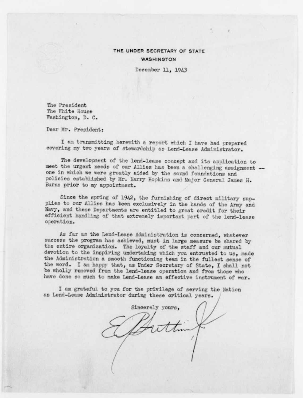## THE UNDER SECRETARY OF STATE **WASHINGTON**

December 11, 1943

The President The White House Washington, D. C.

Dear Mr. President:

I am transmitting herewith a report which I have had prepared covering my two years of stewardship as Lend-Lease Administrator.

The development of the lend-lease concept and its application to meet the urgent needs of our Allies has been a challenging assignment one in which we were greatly aided by the sound foundations and policies established by Mr. Harry Hopkins and Major General James H. Burns prior to my appointment.

Since the spring of 1942, the furnishing of direct military supplies to our Allies has been exclusively in the hands of the Army and Navy, and these Departments are entitled to great credit for their efficient handling of that extremely important part of the lend-lease operation.

As far as the Lend-Lease Administration is concerned, whatever success the program has achieved, must in large measure be shared by the entire organization. The loyalty of the staff and our mutual devotion to the inspiring undertaking which you entrusted to us, made the Administration a smooth functioning team in the fullest sense of the word. I am happy that, as Under Secretary of State, I shall not be wholly removed from the lend-lease operation and from those who have done so much to make Lend-Lease an effective instrument of war.

I am grateful to you for the privilege of serving the Nation as Lend-Lease Administrator during these critical years.

Sincerely yours,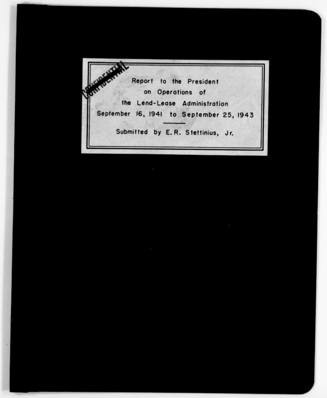Report to the President<br>on Operations of<br>the Lend-Lease Administration Report to the President 4 on Operations of September 16, 1941 to September 25, <sup>1943</sup> Submitted by E. R. Stettinius, Jr.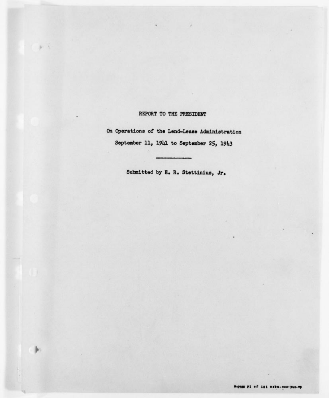### REPORT TO THE PRESIDENT

 $31.5$ 

On Operations of the Lend-Lease Administration September 11, 1941 to September 25, 1943

Submitted by E. R. Stettinius, Jr.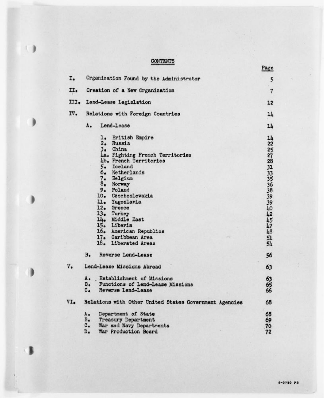# **CONTENTS**

 $\bigcirc$ 

| I.   | Organization Found by the Administrator<br>Creation of a New Organization |                   |  |  |  |
|------|---------------------------------------------------------------------------|-------------------|--|--|--|
| II.  |                                                                           |                   |  |  |  |
| III. | Lend-Lease Legislation                                                    | 12                |  |  |  |
| IV.  | Relations with Foreign Countries                                          | 14                |  |  |  |
|      | A.<br>Lend-Lease                                                          | 14                |  |  |  |
|      | ı.<br><b>British Empire</b>                                               | 14                |  |  |  |
|      | 2. Russia                                                                 | 22                |  |  |  |
|      | China<br>3.1                                                              |                   |  |  |  |
|      | 4a. Fighting French Territories                                           | $\frac{25}{27}$   |  |  |  |
|      | 4b. French Territories                                                    |                   |  |  |  |
|      | Iceland<br>5.                                                             |                   |  |  |  |
|      | 6. Netherlands                                                            |                   |  |  |  |
|      | 7. Belgium                                                                |                   |  |  |  |
|      | 8. Norway                                                                 |                   |  |  |  |
|      | 9. Poland                                                                 | 28 31 33 35 36 38 |  |  |  |
|      | 10. Czechoslovakia                                                        |                   |  |  |  |
|      | ll. Yugoslavia                                                            | 39<br>39          |  |  |  |
|      | 12. Greece                                                                | LO <sub>1</sub>   |  |  |  |
|      | 13. Turkey                                                                | 42                |  |  |  |
|      | 14. Middle East                                                           | 45                |  |  |  |
|      | 15. Liberia                                                               | $\tilde{47}$      |  |  |  |
|      | 16. American Republics                                                    | 48                |  |  |  |
|      | 17. Caribbean Area                                                        | 51                |  |  |  |
|      | 18. Liberated Areas                                                       | 54                |  |  |  |
|      | $B -$<br>Reverse Lend-Lease                                               | 56                |  |  |  |
| v.   | Lend-Lease Missions Abroad                                                | 63                |  |  |  |
|      | Establishment of Missions<br><b>A.</b>                                    | 63                |  |  |  |
|      | Functions of Lend-Lease Missions<br>в.                                    | 65                |  |  |  |
|      | $c_{\bullet}$<br>Reverse Lend-Lease                                       | 66                |  |  |  |
| VI.  | Relations with Other United States Government Agencies                    | 68                |  |  |  |
|      | Department of State<br>A.                                                 | 68                |  |  |  |
|      | $B_{\bullet}$<br><b>Treasury Department</b>                               | 69                |  |  |  |
|      | $c_{\bullet}$<br>War and Navy Departments                                 | 70                |  |  |  |
|      | War Production Board<br>D.                                                | 72                |  |  |  |

Page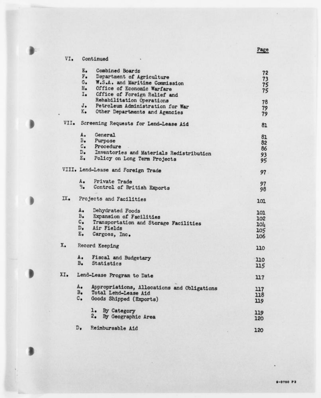Page

|      | Е.             | Combined Boards                             | 72                   |
|------|----------------|---------------------------------------------|----------------------|
|      | F.             | Department of Agriculture                   |                      |
|      | G.             | W.S.A. and Maritime Commission              | $73$<br>$75$<br>$75$ |
|      | $H_{\bullet}$  | Office of Economic Warfare                  |                      |
|      | I.             | Cffice of Foreign Relief and                |                      |
|      |                | Rehabilitation Operations                   | 78                   |
|      | J.             | Petroleum Administration for War            | 79                   |
|      | ĸ.             | Other Departments and Agencies              | 79                   |
| VII. |                | Screening Requests for Lend-Lease Aid       | 81                   |
|      | ٨.             | General                                     | 81                   |
|      | в.             | Purpose                                     | 82                   |
|      | $c_{\bullet}$  | Procedure                                   | 86                   |
|      | $D_{\bullet}$  | Inventories and Materials Redistribution    | 93                   |
|      | E.             | Policy on Long Term Projects                | 95                   |
|      |                | VIII. Lend-Lease and Foreign Trade          | 97                   |
|      | А.             | Private Trade                               | 97                   |
|      | $\overline{B}$ | Control of British Exports                  | 98                   |
| IX.  |                | Projects and Facilities                     | 101                  |
|      | A.             | Dehydrated Foods                            | 101                  |
|      | $B_{\bullet}$  | Expansion of Facilities                     | 102                  |
|      | $c_{\bullet}$  | Transportation and Storage Facilities       | 104                  |
|      | $D_{\bullet}$  | Air Fields                                  |                      |
|      | $E_{\bullet}$  | Cargoes, Inc.                               | 105<br>106           |
| x.   |                | Record Keeping                              | 110                  |
|      | A.             | Fiscal and Budgetary                        | 110                  |
|      | $B_{\bullet}$  | Statistics                                  | 115                  |
| XI.  |                | Lend-Lease Program to Date                  | 117                  |
|      | A.             | Appropriations, Allocations and Obligations | 117                  |
|      | $B_{\bullet}$  | Total Lend-Lease Aid                        | 118                  |
|      | $c_{\bullet}$  | Goods Shipped (Exports)                     | 119                  |
|      |                | 1. By Category                              | 119                  |
|      |                | 2.<br>By Geographic Area                    | 120                  |
|      | D.             | Reimbursable Aid                            | 120                  |
|      |                |                                             |                      |

 $\mathtt{VI}_\bullet$ 

Continued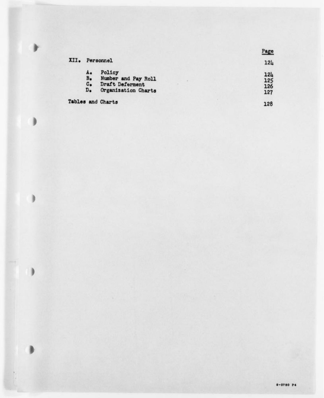|      |                                                              |                                                                         |  | Page                     |
|------|--------------------------------------------------------------|-------------------------------------------------------------------------|--|--------------------------|
| XII. | Personnel                                                    | 124                                                                     |  |                          |
|      | <b>A.</b><br>$B_{\bullet}$<br>$c_{\bullet}$<br>$D_{\bullet}$ | Policy<br>Number and Pay Roll<br>Draft Deferment<br>Organization Charts |  | 124<br>125<br>126<br>127 |
|      |                                                              | Tables and Charts                                                       |  | 128                      |

ł

 $\Box$